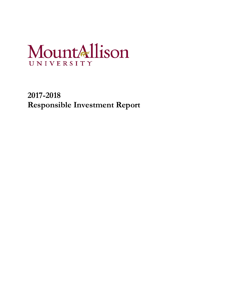# MountAllison UNIVERSITY

**2017-2018 Responsible Investment Report**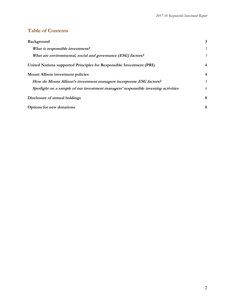## **Table of Contents**

| Background                                                                         | 3                         |  |  |
|------------------------------------------------------------------------------------|---------------------------|--|--|
| What is responsible investment?                                                    | $\overline{\mathfrak{z}}$ |  |  |
| What are environmental, social and governance (ESG) factors?                       | 3                         |  |  |
| United Nations supported Principles for Responsible Investment (PRI)               | $\overline{4}$            |  |  |
| <b>Mount Allison investment policies</b>                                           |                           |  |  |
| How do Mount Allison's investment managers incorporate ESG factors?                |                           |  |  |
| Spotlight on a sample of our investment managers' responsible investing activities | 6                         |  |  |
| Disclosure of annual holdings                                                      | 8                         |  |  |
| Options for new donations                                                          |                           |  |  |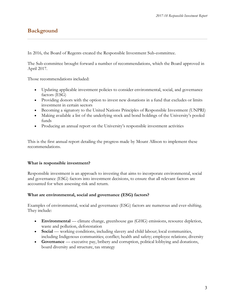# **Background**

In 2016, the Board of Regents created the Responsible Investment Sub-committee.

The Sub-committee brought forward a number of recommendations, which the Board approved in April 2017.

Those recommendations included:

- Updating applicable investment policies to consider environmental, social, and governance factors (ESG)
- Providing donors with the option to invest new donations in a fund that excludes or limits investment in certain sectors
- Becoming a signatory to the United Nations Principles of Responsible Investment (UNPRI)
- Making available a list of the underlying stock and bond holdings of the University's pooled funds
- Producing an annual report on the University's responsible investment activities

This is the first annual report detailing the progress made by Mount Allison to implement these recommendations.

### **What is responsible investment?**

Responsible investment is an approach to investing that aims to incorporate environmental, social and governance (ESG) factors into investment decisions, to ensure that all relevant factors are accounted for when assessing risk and return.

#### **What are environmental, social and governance (ESG) factors?**

Examples of environmental, social and governance (ESG) factors are numerous and ever-shifting. They include:

- **Environmental** climate change, greenhouse gas (GHG) emissions, resource depletion, waste and pollution, deforestation
- **Social** working conditions, including slavery and child labour; local communities, including Indigenous communities; conflict; health and safety; employee relations; diversity
- **Governance** executive pay, bribery and corruption, political lobbying and donations, board diversity and structure, tax strategy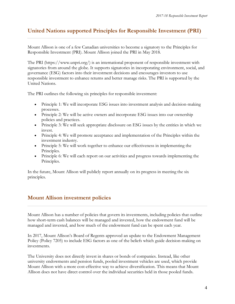# **United Nations supported Principles for Responsible Investment (PRI)**

Mount Allison is one of a few Canadian universities to become a signatory to the Principles for Responsible Investment (PRI). Mount Allison joined the PRI in May 2018.

The PRI (https://www.unpri.org/) is an international proponent of responsible investment with signatories from around the globe. It supports signatories in incorporating environment, social, and governance (ESG) factors into their investment decisions and encourages investors to use responsible investment to enhance returns and better manage risks. The PRI is supported by the United Nations.

The PRI outlines the following six principles for responsible investment:

- Principle 1: We will incorporate ESG issues into investment analysis and decision-making processes.
- Principle 2: We will be active owners and incorporate ESG issues into our ownership policies and practices.
- Principle 3: We will seek appropriate disclosure on ESG issues by the entities in which we invest.
- Principle 4: We will promote acceptance and implementation of the Principles within the investment industry.
- Principle 5: We will work together to enhance our effectiveness in implementing the Principles.
- Principle 6: We will each report on our activities and progress towards implementing the Principles.

In the future, Mount Allison will publicly report annually on its progress in meeting the six principles.

## **Mount Allison investment policies**

Mount Allison has a number of policies that govern its investments, including policies that outline how short-term cash balances will be managed and invested, how the endowment fund will be managed and invested, and how much of the endowment fund can be spent each year.

In 2017, Mount Allison's Board of Regents approved an update to the Endowment Management Policy (Policy 7205) to include ESG factors as one of the beliefs which guide decision-making on investments.

The University does not directly invest in shares or bonds of companies. Instead, like other university endowments and pension funds, pooled investment vehicles are used, which provide Mount Allison with a more cost-effective way to achieve diversification. This means that Mount Allison does not have direct control over the individual securities held in those pooled funds.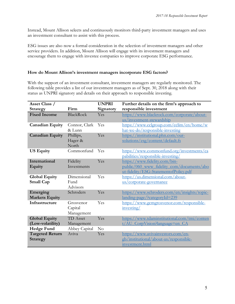Instead, Mount Allison selects and continuously monitors third-party investment managers and uses an investment consultant to assist with this process.

ESG issues are also now a formal consideration in the selection of investment managers and other service providers. In addition, Mount Allison will engage with its investment managers and encourage them to engage with investee companies to improve corporate ESG performance.

### **How do Mount Allison's investment managers incorporate ESG factors?**

With the support of an investment consultant, investment managers are regularly monitored. The following table provides a list of our investment managers as of Sept. 30, 2018 along with their status as UNPRI signatory and details on their approach to responsible investing.

| Asset Class /          |                  | <b>UNPRI</b> | Further details on the firm's approach to    |
|------------------------|------------------|--------------|----------------------------------------------|
| Strategy               | Firm             | Signatory    | responsible investment                       |
| <b>Fixed Income</b>    | <b>BlackRock</b> | Yes          | https://www.blackrock.com/corporate/about-   |
|                        |                  |              | us/investment-stewardship                    |
| <b>Canadian Equity</b> | Connor, Clark    | Yes          | https://www.cclgroup.com/cclim/en/home/w     |
|                        | & Lunn           |              | hat-we-do/responsible-investing              |
| <b>Canadian Equity</b> | Phillips,        | Yes          | https://institutional.phn.com/our-           |
|                        | Hager &          |              | solutions/esg/content/default.fs             |
|                        | North            |              |                                              |
| <b>US Equity</b>       | Commonfund       | Yes          | https://www.commonfund.org/investments/ca    |
|                        |                  |              | pabilities/responsible-investing/            |
| International          | Fidelity         | Yes          | https://www.fidelity.com/bin-                |
| Equity                 | Investments      |              | public/060 www fidelity com/documents/abo    |
|                        |                  |              | ut-fidelity/ESG-StatementofPolicy.pdf        |
| <b>Global Equity</b>   | Dimensional      | Yes          | https://us.dimensional.com/about-            |
| <b>Small Cap</b>       | Fund             |              | <u>us/corporate-governance</u>               |
|                        | Advisors         |              |                                              |
| Emerging               | Schroders        | Yes          | https://www.schroders.com/en/insights/topic- |
| <b>Markets Equity</b>  |                  |              | landing-page/?categoryId=239                 |
| Infrastructure         | Grosvenor        | Yes          | https://www.gcmgrosvenor.com/responsible-    |
|                        | Capital          |              | investing/                                   |
|                        | Management       |              |                                              |
| <b>Global Equity</b>   | <b>TD</b> Asset  | Yes          | https://www.tdaminstitutional.com/tmi/conten |
| (Low-volatility)       | Management       |              | t/AU CorpVision?language=en CA               |
| <b>Hedge Fund</b>      | Abbey Capital    | No           |                                              |
| <b>Targeted Return</b> | Aviva            | Yes          | https://www.avivainvestors.com/en-           |
| <b>Strategy</b>        |                  |              | gb/institutional/about-us/responsible-       |
|                        |                  |              | investment.html                              |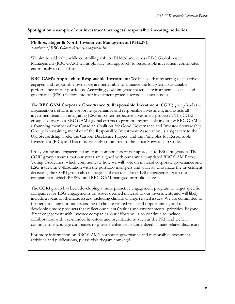#### **Spotlight on a sample of our investment managers' responsible investing activities**

**Phillips, Hager & North Investment Management (PH&N),** *a division of RBC Global Asset Management Inc.*

We aim to add value while controlling risk. At PH&N and across RBC Global Asset Management (RBC GAM) teams globally, our approach to responsible investment contributes enormously to this effort.

**RBC GAM's Approach to Responsible Investment:** We believe that by acting as an active, engaged and responsible owner we are better able to enhance the long-term, sustainable performance of our portfolios. Accordingly, we integrate material environmental, social, and governance (ESG) factors into our investment process across all asset classes.

The **RBC GAM Corporate Governance & Responsible Investment** (CGRI) group leads the organization's efforts in corporate governance and responsible investment, and assists all investment teams in integrating ESG into their respective investment processes. The CGRI group also oversees RBC GAM's global efforts to promote responsible investing: RBC GAM is a founding member of the Canadian Coalition for Good Governance and Investor Stewardship Group; is sustaining member of the Responsible Investment Association; is a signatory to the UK Stewardship Code, the Carbon Disclosure Project, and the Principles for Responsible Investment (PRI); and has most recently committed to the Japan Stewardship Code.

Proxy voting and engagement are core components of our approach to ESG integration. The CGRI group ensures that our votes are aligned with our annually-updated RBC GAM Proxy Voting Guidelines, which communicate how we will vote on material corporate governance and ESG issues. In collaboration with the portfolio managers and analysts who make the investment decisions, the CGRI group also manages and executes direct ESG engagement with the companies in which PH&N- and RBC GAM-managed portfolios invest.

The CGRI group has been developing a more proactive engagement program to target specific companies for ESG engagements on issues deemed material to our investments and will likely include a focus on thematic issues, including climate-change related issues. We are committed to further enriching our understanding of climate-related risks and opportunities, and to developing more products that reflect our clients' values and environmental priorities. Beyond direct engagement with investee companies, our efforts will also continue to include collaboration with like-minded investors and organizations, such as the PRI, and we will continue to encourage companies to provide enhanced, standardized climate-related disclosure.

For more information on RBC GAM's corporate governance and responsible investment activities and publications, please visit rbcgam.com/cgri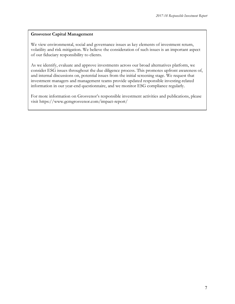#### **Grosvenor Capital Management**

We view environmental, social and governance issues as key elements of investment return, volatility and risk mitigation. We believe the consideration of such issues is an important aspect of our fiduciary responsibility to clients.

As we identify, evaluate and approve investments across our broad alternatives platform, we consider ESG issues throughout the due diligence process. This promotes upfront awareness of, and internal discussions on, potential issues from the initial screening stage. We request that investment managers and management teams provide updated responsible investing-related information in our year-end questionnaire, and we monitor ESG compliance regularly.

For more information on Grosvenor's responsible investment activities and publications, please visit https://www.gcmgrosvenor.com/impact-report/